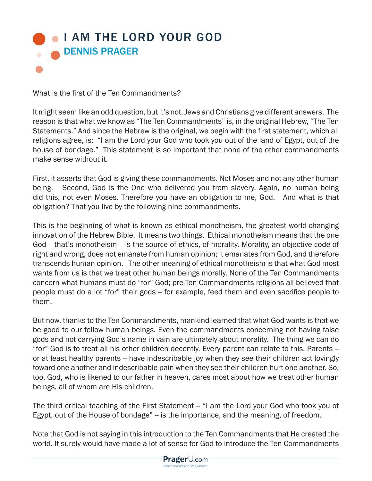## **I AM THE LORD YOUR GOD** DENNIS PRAGER

What is the first of the Ten Commandments?

It might seem like an odd question, but it's not. Jews and Christians give different answers. The reason is that what we know as "The Ten Commandments" is, in the original Hebrew, "The Ten Statements." And since the Hebrew is the original, we begin with the first statement, which all religions agree, is: "I am the Lord your God who took you out of the land of Egypt, out of the house of bondage." This statement is so important that none of the other commandments make sense without it.

First, it asserts that God is giving these commandments. Not Moses and not any other human being. Second, God is the One who delivered you from slavery. Again, no human being did this, not even Moses. Therefore you have an obligation to me, God. And what is that obligation? That you live by the following nine commandments.

This is the beginning of what is known as ethical monotheism, the greatest world-changing innovation of the Hebrew Bible. It means two things. Ethical monotheism means that the one God -- that's monotheism -- is the source of ethics, of morality. Morality, an objective code of right and wrong, does not emanate from human opinion; it emanates from God, and therefore transcends human opinion. The other meaning of ethical monotheism is that what God most wants from us is that we treat other human beings morally. None of the Ten Commandments concern what humans must do "for" God; pre-Ten Commandments religions all believed that people must do a lot "for" their gods -- for example, feed them and even sacrifice people to them.

But now, thanks to the Ten Commandments, mankind learned that what God wants is that we be good to our fellow human beings. Even the commandments concerning not having false gods and not carrying God's name in vain are ultimately about morality. The thing we can do "for" God is to treat all his other children decently. Every parent can relate to this. Parents - or at least healthy parents -- have indescribable joy when they see their children act lovingly toward one another and indescribable pain when they see their children hurt one another. So, too, God, who is likened to our father in heaven, cares most about how we treat other human beings, all of whom are His children.

The third critical teaching of the First Statement -- "I am the Lord your God who took you of Egypt, out of the House of bondage" -- is the importance, and the meaning, of freedom.

Note that God is not saying in this introduction to the Ten Commandments that He created the world. It surely would have made a lot of sense for God to introduce the Ten Commandments